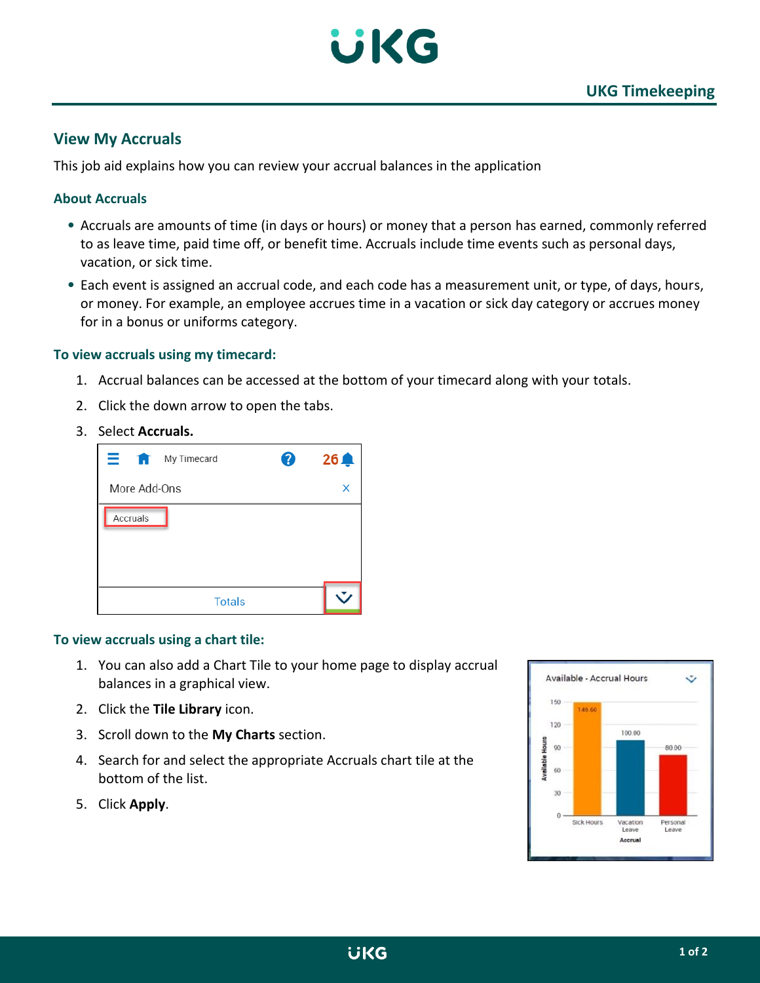

# **View My Accruals**

This job aid explains how you can review your accrual balances in the application

## **About Accruals**

- Accruals are amounts of time (in days or hours) or money that a person has earned, commonly referred to as leave time, paid time off, or benefit time. Accruals include time events such as personal days, vacation, or sick time.
- Each event is assigned an accrual code, and each code has a measurement unit, or type, of days, hours, or money. For example, an employee accrues time in a vacation or sick day category or accrues money for in a bonus or uniforms category.

### **To view accruals using my timecard:**

- 1. Accrual balances can be accessed at the bottom of your timecard along with your totals.
- 2. Click the down arrow to open the tabs.
- 3. Select **Accruals.**



#### **To view accruals using a chart tile:**

- 1. You can also add a Chart Tile to your home page to display accrual balances in a graphical view.
- 2. Click the **Tile Library** icon.
- 3. Scroll down to the **My Charts** section.
- 4. Search for and select the appropriate Accruals chart tile at the bottom of the list.
- 5. Click **Apply**.